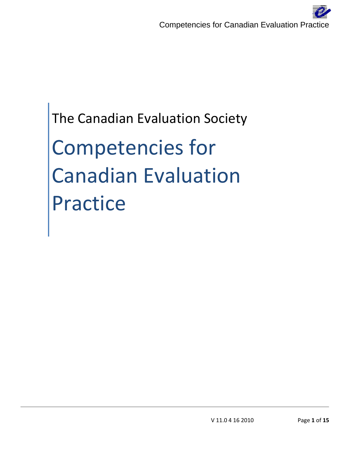The Canadian Evaluation Society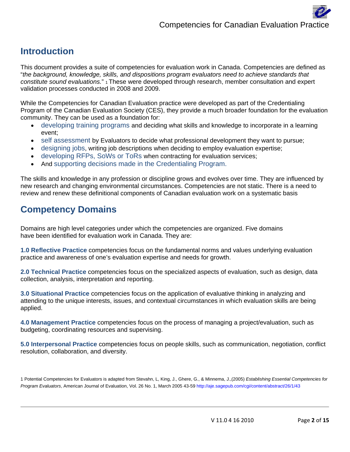#### **Introduction**

This document provides a suite of competencies for evaluation work in Canada. Competencies are defined as "*the background, knowledge, skills, and dispositions program evaluators need to achieve standards that constitute sound evaluations.*" 1 These were developed through research, member consultation and expert validation processes conducted in 2008 and 2009.

While the Competencies for Canadian Evaluation practice were developed as part of the Credentialing Program of the Canadian Evaluation Society (CES), they provide a much broader foundation for the evaluation community. They can be used as a foundation for:

- developing training programs and deciding what skills and knowledge to incorporate in a learning event;
- self assessment by Evaluators to decide what professional development they want to pursue;
- designing jobs, writing job descriptions when deciding to employ evaluation expertise;
- developing RFPs, SoWs or ToRs when contracting for evaluation services;
- And supporting decisions made in the Credentialing Program.

The skills and knowledge in any profession or discipline grows and evolves over time. They are influenced by new research and changing environmental circumstances. Competencies are not static. There is a need to review and renew these definitional components of Canadian evaluation work on a systematic basis

#### **Competency Domains**

Domains are high level categories under which the competencies are organized. Five domains have been identified for evaluation work in Canada. They are:

**1.0 Reflective Practice** competencies focus on the fundamental norms and values underlying evaluation practice and awareness of one's evaluation expertise and needs for growth.

**2.0 Technical Practice** competencies focus on the specialized aspects of evaluation, such as design, data collection, analysis, interpretation and reporting.

**3.0 Situational Practice** competencies focus on the application of evaluative thinking in analyzing and attending to the unique interests, issues, and contextual circumstances in which evaluation skills are being applied.

**4.0 Management Practice** competencies focus on the process of managing a project/evaluation, such as budgeting, coordinating resources and supervising.

**5.0 Interpersonal Practice** competencies focus on people skills, such as communication, negotiation, conflict resolution, collaboration, and diversity.

1 Potential Competencies for Evaluators is adapted from Stevahn, L, King, J., Ghere, G., & Minnema, J.,(2005) *Establishing Essential Competencies for*  Program Evaluators, American Journal of Evaluation, Vol. 26 No. 1, March 2005 43-59 http://aje.sagepub.com/cgi/content/abstract/26/1/43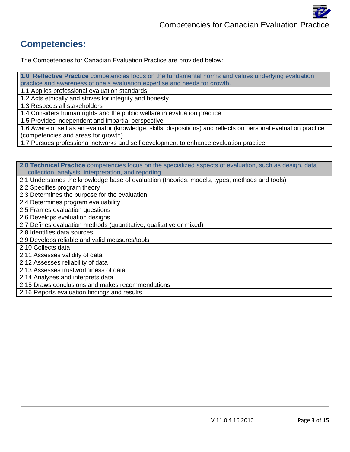#### **Competencies:**

The Competencies for Canadian Evaluation Practice are provided below: 5.

**1.0 Reflective Practice** competencies focus on the fundamental norms and values underlying evaluation practice and awareness of one's evaluation expertise and needs for growth.

1.1 Applies professional evaluation standards

1.2 Acts ethically and strives for integrity and honesty

1.3 Respects all stakeholders

1.4 Considers human rights and the public welfare in evaluation practice

1.5 Provides independent and impartial perspective

1.6 Aware of self as an evaluator (knowledge, skills, dispositions) and reflects on personal evaluation practice (competencies and areas for growth)

1.7 Pursues professional networks and self development to enhance evaluation practice

**2.0 Technical Practice** competencies focus on the specialized aspects of evaluation, such as design, data collection, analysis, interpretation, and reporting.

2.1 Understands the knowledge base of evaluation (theories, models, types, methods and tools)

2.2 Specifies program theory

2.3 Determines the purpose for the evaluation

2.4 Determines program evaluability

2.5 Frames evaluation questions

2.6 Develops evaluation designs

2.7 Defines evaluation methods (quantitative, qualitative or mixed)

2.8 Identifies data sources

2.9 Develops reliable and valid measures/tools

2.10 Collects data

2.11 Assesses validity of data

2.12 Assesses reliability of data

2.13 Assesses trustworthiness of data

2.14 Analyzes and interprets data

2.15 Draws conclusions and makes recommendations

2.16 Reports evaluation findings and results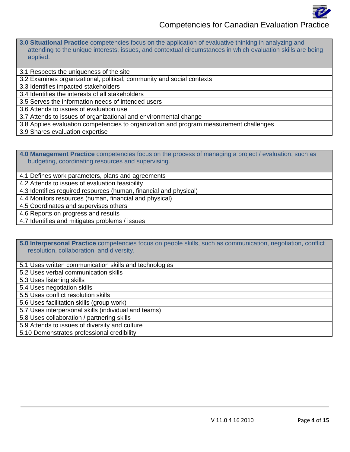

**3.0 Situational Practice** competencies focus on the application of evaluative thinking in analyzing and attending to the unique interests, issues, and contextual circumstances in which evaluation skills are being applied.

3.1 Respects the uniqueness of the site

3.2 Examines organizational, political, community and social contexts

3.3 Identifies impacted stakeholders

3.4 Identifies the interests of all stakeholders

3.5 Serves the information needs of intended users

3.6 Attends to issues of evaluation use

3.7 Attends to issues of organizational and environmental change

3.8 Applies evaluation competencies to organization and program measurement challenges

3.9 Shares evaluation expertise

**4.0 Management Practice** competencies focus on the process of managing a project / evaluation, such as budgeting, coordinating resources and supervising.

4.1 Defines work parameters, plans and agreements

4.2 Attends to issues of evaluation feasibility

4.3 Identifies required resources (human, financial and physical)

4.4 Monitors resources (human, financial and physical)

4.5 Coordinates and supervises others

4.6 Reports on progress and results

4.7 Identifies and mitigates problems / issues

**5.0 Interpersonal Practice** competencies focus on people skills, such as communication, negotiation, conflict resolution, collaboration, and diversity.

5.1 Uses written communication skills and technologies

5.2 Uses verbal communication skills

5.3 Uses listening skills

5.4 Uses negotiation skills

5.5 Uses conflict resolution skills

5.6 Uses facilitation skills (group work)

5.7 Uses interpersonal skills (individual and teams)

5.8 Uses collaboration / partnering skills

5.9 Attends to issues of diversity and culture

5.10 Demonstrates professional credibility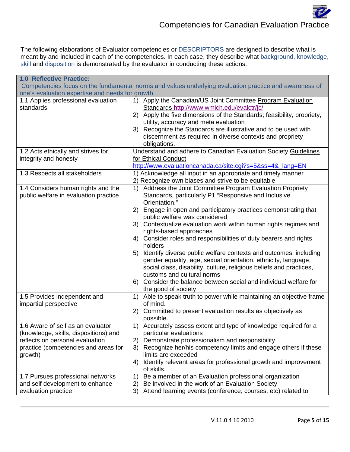The following elaborations of Evaluator competencies or DESCRIPTORS are designed to describe what is meant by and included in each of the competencies. In each case, they describe what background, knowledge, skill and disposition is demonstrated by the evaluator in conducting these actions.

| <b>1.0 Reflective Practice:</b>                  |                                                                                                        |
|--------------------------------------------------|--------------------------------------------------------------------------------------------------------|
|                                                  | Competencies focus on the fundamental norms and values underlying evaluation practice and awareness of |
| one's evaluation expertise and needs for growth. |                                                                                                        |
| 1.1 Applies professional evaluation              | 1) Apply the Canadian/US Joint Committee Program Evaluation                                            |
| standards                                        | Standards http://www.wmich.edu/evalctr/jc/                                                             |
|                                                  | 2) Apply the five dimensions of the Standards; feasibility, propriety,                                 |
|                                                  | utility, accuracy and meta evaluation                                                                  |
|                                                  | 3) Recognize the Standards are illustrative and to be used with                                        |
|                                                  | discernment as required in diverse contexts and propriety                                              |
|                                                  | obligations.                                                                                           |
| 1.2 Acts ethically and strives for               | Understand and adhere to Canadian Evaluation Society Guidelines                                        |
| integrity and honesty                            | for Ethical Conduct                                                                                    |
|                                                  | http://www.evaluationcanada.ca/site.cgi?s=5&ss=4&_lang=EN                                              |
| 1.3 Respects all stakeholders                    | 1) Acknowledge all input in an appropriate and timely manner                                           |
|                                                  | 2) Recognize own biases and strive to be equitable                                                     |
| 1.4 Considers human rights and the               | Address the Joint Committee Program Evaluation Propriety<br>1)                                         |
| public welfare in evaluation practice            | Standards, particularly P1 "Responsive and Inclusive                                                   |
|                                                  | Orientation."                                                                                          |
|                                                  | 2) Engage in open and participatory practices demonstrating that                                       |
|                                                  | public welfare was considered                                                                          |
|                                                  | 3) Contextualize evaluation work within human rights regimes and                                       |
|                                                  | rights-based approaches                                                                                |
|                                                  | 4) Consider roles and responsibilities of duty bearers and rights                                      |
|                                                  | holders                                                                                                |
|                                                  | Identify diverse public welfare contexts and outcomes, including<br>5)                                 |
|                                                  | gender equality, age, sexual orientation, ethnicity, language,                                         |
|                                                  | social class, disability, culture, religious beliefs and practices,                                    |
|                                                  | customs and cultural norms                                                                             |
|                                                  | 6) Consider the balance between social and individual welfare for                                      |
|                                                  | the good of society                                                                                    |
| 1.5 Provides independent and                     | 1) Able to speak truth to power while maintaining an objective frame                                   |
| impartial perspective                            | of mind.                                                                                               |
|                                                  | Committed to present evaluation results as objectively as<br>2)                                        |
|                                                  | possible.                                                                                              |
| 1.6 Aware of self as an evaluator                | 1) Accurately assess extent and type of knowledge required for a                                       |
| (knowledge, skills, dispositions) and            | particular evaluations                                                                                 |
| reflects on personal evaluation                  | Demonstrate professionalism and responsibility<br>2)                                                   |
| practice (competencies and areas for             | 3)<br>Recognize her/his competency limits and engage others if these                                   |
| growth)                                          | limits are exceeded                                                                                    |
|                                                  | Identify relevant areas for professional growth and improvement<br>4)                                  |
|                                                  | of skills.                                                                                             |
| 1.7 Pursues professional networks                | Be a member of an Evaluation professional organization<br>1)                                           |
| and self development to enhance                  | Be involved in the work of an Evaluation Society<br>2)                                                 |
| evaluation practice                              | Attend learning events (conference, courses, etc) related to<br>3)                                     |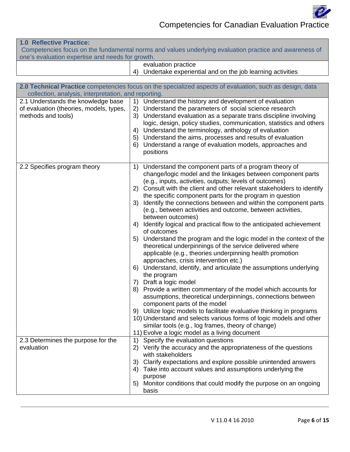

#### **1.0 Reflective Practice:**

 Competencies focus on the fundamental norms and values underlying evaluation practice and awareness of one's evaluation expertise and needs for growth.

- evaluation practice
- 4) Undertake experiential and on the job learning activities

|                                                      | 2.0 Technical Practice competencies focus on the specialized aspects of evaluation, such as design, data                                    |
|------------------------------------------------------|---------------------------------------------------------------------------------------------------------------------------------------------|
| collection, analysis, interpretation, and reporting. |                                                                                                                                             |
| 2.1 Understands the knowledge base                   | Understand the history and development of evaluation<br>1)                                                                                  |
| of evaluation (theories, models, types,              | Understand the parameters of social science research<br>2)                                                                                  |
| methods and tools)                                   | 3) Understand evaluation as a separate trans discipline involving                                                                           |
|                                                      | logic, design, policy studies, communication, statistics and others                                                                         |
|                                                      | Understand the terminology, anthology of evaluation<br>4)                                                                                   |
|                                                      | 5) Understand the aims, processes and results of evaluation                                                                                 |
|                                                      | 6) Understand a range of evaluation models, approaches and                                                                                  |
|                                                      | positions                                                                                                                                   |
|                                                      |                                                                                                                                             |
| 2.2 Specifies program theory                         | 1) Understand the component parts of a program theory of                                                                                    |
|                                                      | change/logic model and the linkages between component parts                                                                                 |
|                                                      | (e.g., inputs, activities, outputs; levels of outcomes)<br>2) Consult with the client and other relevant stakeholders to identify           |
|                                                      | the specific component parts for the program in question                                                                                    |
|                                                      | 3) Identify the connections between and within the component parts                                                                          |
|                                                      | (e.g., between activities and outcome, between activities,                                                                                  |
|                                                      | between outcomes)                                                                                                                           |
|                                                      | Identify logical and practical flow to the anticipated achievement<br>4)                                                                    |
|                                                      | of outcomes                                                                                                                                 |
|                                                      | Understand the program and the logic model in the context of the<br>5)                                                                      |
|                                                      | theoretical underpinnings of the service delivered where                                                                                    |
|                                                      | applicable (e.g., theories underpinning health promotion                                                                                    |
|                                                      | approaches, crisis intervention etc.)                                                                                                       |
|                                                      | 6) Understand, identify, and articulate the assumptions underlying                                                                          |
|                                                      | the program                                                                                                                                 |
|                                                      | 7) Draft a logic model                                                                                                                      |
|                                                      | 8) Provide a written commentary of the model which accounts for                                                                             |
|                                                      | assumptions, theoretical underpinnings, connections between                                                                                 |
|                                                      | component parts of the model                                                                                                                |
|                                                      | 9) Utilize logic models to facilitate evaluative thinking in programs<br>10) Understand and selects various forms of logic models and other |
|                                                      | similar tools (e.g., log frames, theory of change)                                                                                          |
|                                                      | 11) Evolve a logic model as a living document                                                                                               |
| 2.3 Determines the purpose for the                   | 1) Specify the evaluation questions                                                                                                         |
| evaluation                                           | 2) Verify the accuracy and the appropriateness of the questions                                                                             |
|                                                      | with stakeholders                                                                                                                           |
|                                                      | Clarify expectations and explore possible unintended answers<br>3)                                                                          |
|                                                      | Take into account values and assumptions underlying the<br>4)                                                                               |
|                                                      | purpose                                                                                                                                     |
|                                                      | 5) Monitor conditions that could modify the purpose on an ongoing                                                                           |
|                                                      | basis                                                                                                                                       |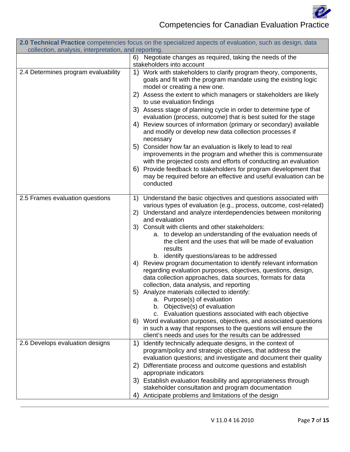

|                                                      | 2.0 Technical Practice competencies focus on the specialized aspects of evaluation, such as design, data                                                                                                                                                                                                                                                                                                                                                                                                                                                                                                                                                                                                                                                                                                                                                                                                                                                                                                                                                                                        |
|------------------------------------------------------|-------------------------------------------------------------------------------------------------------------------------------------------------------------------------------------------------------------------------------------------------------------------------------------------------------------------------------------------------------------------------------------------------------------------------------------------------------------------------------------------------------------------------------------------------------------------------------------------------------------------------------------------------------------------------------------------------------------------------------------------------------------------------------------------------------------------------------------------------------------------------------------------------------------------------------------------------------------------------------------------------------------------------------------------------------------------------------------------------|
| collection, analysis, interpretation, and reporting. |                                                                                                                                                                                                                                                                                                                                                                                                                                                                                                                                                                                                                                                                                                                                                                                                                                                                                                                                                                                                                                                                                                 |
|                                                      | 6) Negotiate changes as required, taking the needs of the<br>stakeholders into account                                                                                                                                                                                                                                                                                                                                                                                                                                                                                                                                                                                                                                                                                                                                                                                                                                                                                                                                                                                                          |
| 2.4 Determines program evaluability                  | 1) Work with stakeholders to clarify program theory, components,<br>goals and fit with the program mandate using the existing logic<br>model or creating a new one.<br>2) Assess the extent to which managers or stakeholders are likely<br>to use evaluation findings<br>3) Assess stage of planning cycle in order to determine type of<br>evaluation (process, outcome) that is best suited for the stage<br>4) Review sources of information (primary or secondary) available<br>and modify or develop new data collection processes if<br>necessary<br>5) Consider how far an evaluation is likely to lead to real<br>improvements in the program and whether this is commensurate<br>with the projected costs and efforts of conducting an evaluation<br>6) Provide feedback to stakeholders for program development that<br>may be required before an effective and useful evaluation can be<br>conducted                                                                                                                                                                                |
| 2.5 Frames evaluation questions                      | Understand the basic objectives and questions associated with<br>1)<br>various types of evaluation (e.g., process, outcome, cost-related)<br>2) Understand and analyze interdependencies between monitoring<br>and evaluation<br>3) Consult with clients and other stakeholders:<br>a. to develop an understanding of the evaluation needs of<br>the client and the uses that will be made of evaluation<br>results<br>b. identify questions/areas to be addressed<br>Review program documentation to identify relevant information<br>4)<br>regarding evaluation purposes, objectives, questions, design,<br>data collection approaches, data sources, formats for data<br>collection, data analysis, and reporting<br>5) Analyze materials collected to identify:<br>a. Purpose(s) of evaluation<br>b. Objective(s) of evaluation<br>c. Evaluation questions associated with each objective<br>6) Word evaluation purposes, objectives, and associated questions<br>in such a way that responses to the questions will ensure the<br>client's needs and uses for the results can be addressed |
| 2.6 Develops evaluation designs                      | Identify technically adequate designs, in the context of<br>1)<br>program/policy and strategic objectives, that address the<br>evaluation questions; and investigate and document their quality<br>Differentiate process and outcome questions and establish<br>2)<br>appropriate indicators<br>3) Establish evaluation feasibility and appropriateness through<br>stakeholder consultation and program documentation<br>Anticipate problems and limitations of the design<br>4)                                                                                                                                                                                                                                                                                                                                                                                                                                                                                                                                                                                                                |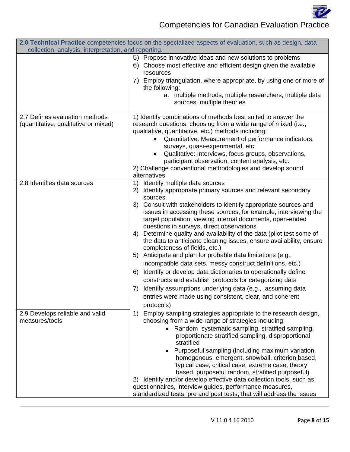

|                                                                        | 2.0 Technical Practice competencies focus on the specialized aspects of evaluation, such as design, data                                                                                                                                                                                                                                                                                                                                                                                                                                                                                                                                                                                                                                                                                                                                                                                                                                                         |
|------------------------------------------------------------------------|------------------------------------------------------------------------------------------------------------------------------------------------------------------------------------------------------------------------------------------------------------------------------------------------------------------------------------------------------------------------------------------------------------------------------------------------------------------------------------------------------------------------------------------------------------------------------------------------------------------------------------------------------------------------------------------------------------------------------------------------------------------------------------------------------------------------------------------------------------------------------------------------------------------------------------------------------------------|
| collection, analysis, interpretation, and reporting.                   |                                                                                                                                                                                                                                                                                                                                                                                                                                                                                                                                                                                                                                                                                                                                                                                                                                                                                                                                                                  |
|                                                                        | 5) Propose innovative ideas and new solutions to problems<br>6) Choose most effective and efficient design given the available<br>resources<br>7) Employ triangulation, where appropriate, by using one or more of<br>the following:<br>a. multiple methods, multiple researchers, multiple data<br>sources, multiple theories                                                                                                                                                                                                                                                                                                                                                                                                                                                                                                                                                                                                                                   |
| 2.7 Defines evaluation methods<br>(quantitative, qualitative or mixed) | 1) Identify combinations of methods best suited to answer the<br>research questions, choosing from a wide range of mixed (i.e.,<br>qualitative, quantitative, etc.) methods including:<br>Quantitative: Measurement of performance indicators,<br>surveys, quasi-experimental, etc<br>Qualitative: Interviews, focus groups, observations,<br>$\bullet$<br>participant observation, content analysis, etc.<br>2) Challenge conventional methodologies and develop sound<br>alternatives                                                                                                                                                                                                                                                                                                                                                                                                                                                                          |
| 2.8 Identifies data sources                                            | Identify multiple data sources<br>1)<br>Identify appropriate primary sources and relevant secondary<br>2)<br>sources<br>3) Consult with stakeholders to identify appropriate sources and<br>issues in accessing these sources, for example, interviewing the<br>target population, viewing internal documents, open-ended<br>questions in surveys, direct observations<br>4) Determine quality and availability of the data (pilot test some of<br>the data to anticipate cleaning issues, ensure availability, ensure<br>completeness of fields, etc.)<br>Anticipate and plan for probable data limitations (e.g.,<br>5)<br>incompatible data sets, messy construct definitions, etc.)<br>6) Identify or develop data dictionaries to operationally define<br>constructs and establish protocols for categorizing data<br>7) Identify assumptions underlying data (e.g., assuming data<br>entries were made using consistent, clear, and coherent<br>protocols) |
| 2.9 Develops reliable and valid<br>measures/tools                      | Employ sampling strategies appropriate to the research design,<br>1)<br>choosing from a wide range of strategies including:<br>Random systematic sampling, stratified sampling,<br>proportionate stratified sampling, disproportional<br>stratified<br>Purposeful sampling (including maximum variation,<br>homogenous, emergent, snowball, criterion based,<br>typical case, critical case, extreme case, theory<br>based, purposeful random, stratified purposeful)<br>2) Identify and/or develop effective data collection tools, such as:<br>questionnaires, interview guides, performance measures,<br>standardized tests, pre and post tests, that will address the issues                                                                                                                                                                                                                                                                                 |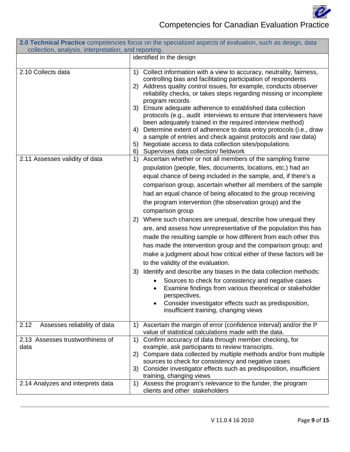

| 2.0 Technical Practice competencies focus on the specialized aspects of evaluation, such as design, data<br>collection, analysis, interpretation, and reporting. |                                                                                                                                                                                                                                                                                                                                                                                                                                                                                                                                                                                                                                                                                                                                                                                                                                                                                                                                                                                                                                                                                                                     |
|------------------------------------------------------------------------------------------------------------------------------------------------------------------|---------------------------------------------------------------------------------------------------------------------------------------------------------------------------------------------------------------------------------------------------------------------------------------------------------------------------------------------------------------------------------------------------------------------------------------------------------------------------------------------------------------------------------------------------------------------------------------------------------------------------------------------------------------------------------------------------------------------------------------------------------------------------------------------------------------------------------------------------------------------------------------------------------------------------------------------------------------------------------------------------------------------------------------------------------------------------------------------------------------------|
|                                                                                                                                                                  | identified in the design                                                                                                                                                                                                                                                                                                                                                                                                                                                                                                                                                                                                                                                                                                                                                                                                                                                                                                                                                                                                                                                                                            |
| 2.10 Collects data                                                                                                                                               | Collect information with a view to accuracy, neutrality, fairness,<br>1)<br>controlling bias and facilitating participation of respondents<br>2) Address quality control issues, for example, conducts observer<br>reliability checks, or takes steps regarding missing or incomplete<br>program records<br>3) Ensure adequate adherence to established data collection<br>protocols (e.g., audit interviews to ensure that interviewers have<br>been adequately trained in the required interview method)<br>Determine extent of adherence to data entry protocols (i.e., draw<br>4)<br>a sample of entries and check against protocols and raw data)<br>Negotiate access to data collection sites/populations<br>5)<br>Supervises data collection/ fieldwork<br>6)                                                                                                                                                                                                                                                                                                                                                |
| 2.11 Assesses validity of data                                                                                                                                   | 1) Ascertain whether or not all members of the sampling frame<br>population (people, files, documents, locations, etc.) had an<br>equal chance of being included in the sample, and, if there's a<br>comparison group, ascertain whether all members of the sample<br>had an equal chance of being allocated to the group receiving<br>the program intervention (the observation group) and the<br>comparison group<br>2) Where such chances are unequal, describe how unequal they<br>are, and assess how unrepresentative of the population this has<br>made the resulting sample or how different from each other this<br>has made the intervention group and the comparison group; and<br>make a judgment about how critical either of these factors will be<br>to the validity of the evaluation.<br>3) Identify and describe any biases in the data collection methods:<br>Sources to check for consistency and negative cases<br>Examine findings from various theoretical or stakeholder<br>perspectives.<br>Consider investigator effects such as predisposition,<br>insufficient training, changing views |
| 2.12<br>Assesses reliability of data<br>2.13 Assesses trustworthiness of<br>data                                                                                 | Ascertain the margin of error (confidence interval) and/or the P<br>1)<br>value of statistical calculations made with the data.<br>Confirm accuracy of data through member checking, for<br>1)<br>example, ask participants to review transcripts.                                                                                                                                                                                                                                                                                                                                                                                                                                                                                                                                                                                                                                                                                                                                                                                                                                                                  |
|                                                                                                                                                                  | Compare data collected by multiple methods and/or from multiple<br>2)<br>sources to check for consistency and negative cases<br>Consider investigator effects such as predisposition, insufficient<br>3)<br>training, changing views                                                                                                                                                                                                                                                                                                                                                                                                                                                                                                                                                                                                                                                                                                                                                                                                                                                                                |
| 2.14 Analyzes and interprets data                                                                                                                                | Assess the program's relevance to the funder, the program<br>1)<br>clients and other stakeholders                                                                                                                                                                                                                                                                                                                                                                                                                                                                                                                                                                                                                                                                                                                                                                                                                                                                                                                                                                                                                   |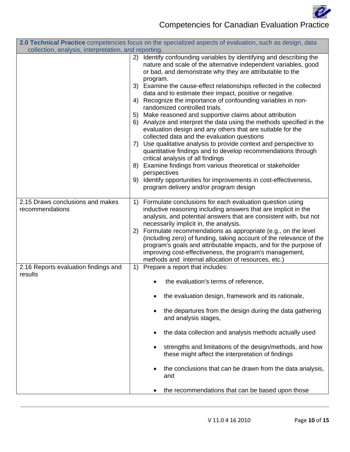

|                                                      | 2.0 Technical Practice competencies focus on the specialized aspects of evaluation, such as design, data                                                                                                                                                                                                                                                                                                                                                                                                                                                                                                                                                                                                                                                                                                                                                                                                                                                                                                                                                                                  |
|------------------------------------------------------|-------------------------------------------------------------------------------------------------------------------------------------------------------------------------------------------------------------------------------------------------------------------------------------------------------------------------------------------------------------------------------------------------------------------------------------------------------------------------------------------------------------------------------------------------------------------------------------------------------------------------------------------------------------------------------------------------------------------------------------------------------------------------------------------------------------------------------------------------------------------------------------------------------------------------------------------------------------------------------------------------------------------------------------------------------------------------------------------|
| collection, analysis, interpretation, and reporting. |                                                                                                                                                                                                                                                                                                                                                                                                                                                                                                                                                                                                                                                                                                                                                                                                                                                                                                                                                                                                                                                                                           |
|                                                      | Identify confounding variables by identifying and describing the<br>(2)<br>nature and scale of the alternative independent variables, good<br>or bad, and demonstrate why they are attributable to the<br>program.<br>3) Examine the cause-effect relationships reflected in the collected<br>data and to estimate their impact, positive or negative.<br>Recognize the importance of confounding variables in non-<br>4)<br>randomized controlled trials.<br>5) Make reasoned and supportive claims about attribution<br>6) Analyze and interpret the data using the methods specified in the<br>evaluation design and any others that are suitable for the<br>collected data and the evaluation questions<br>7) Use qualitative analysis to provide context and perspective to<br>quantitative findings and to develop recommendations through<br>critical analysis of all findings<br>Examine findings from various theoretical or stakeholder<br>8)<br>perspectives<br>Identify opportunities for improvements in cost-effectiveness,<br>9)<br>program delivery and/or program design |
| 2.15 Draws conclusions and makes                     | 1) Formulate conclusions for each evaluation question using                                                                                                                                                                                                                                                                                                                                                                                                                                                                                                                                                                                                                                                                                                                                                                                                                                                                                                                                                                                                                               |
| recommendations                                      | inductive reasoning including answers that are implicit in the<br>analysis, and potential answers that are consistent with, but not<br>necessarily implicit in, the analysis.<br>2) Formulate recommendations as appropriate (e.g., on the level<br>(including zero) of funding, taking account of the relevance of the<br>program's goals and attributable impacts, and for the purpose of<br>improving cost-effectiveness, the program's management,<br>methods and internal allocation of resources, etc.)                                                                                                                                                                                                                                                                                                                                                                                                                                                                                                                                                                             |
| 2.16 Reports evaluation findings and<br>results      | 1) Prepare a report that includes:                                                                                                                                                                                                                                                                                                                                                                                                                                                                                                                                                                                                                                                                                                                                                                                                                                                                                                                                                                                                                                                        |
|                                                      | the evaluation's terms of reference,                                                                                                                                                                                                                                                                                                                                                                                                                                                                                                                                                                                                                                                                                                                                                                                                                                                                                                                                                                                                                                                      |
|                                                      | the evaluation design, framework and its rationale,                                                                                                                                                                                                                                                                                                                                                                                                                                                                                                                                                                                                                                                                                                                                                                                                                                                                                                                                                                                                                                       |
|                                                      | the departures from the design during the data gathering<br>and analysis stages,                                                                                                                                                                                                                                                                                                                                                                                                                                                                                                                                                                                                                                                                                                                                                                                                                                                                                                                                                                                                          |
|                                                      | the data collection and analysis methods actually used<br>$\bullet$                                                                                                                                                                                                                                                                                                                                                                                                                                                                                                                                                                                                                                                                                                                                                                                                                                                                                                                                                                                                                       |
|                                                      | strengths and limitations of the design/methods, and how<br>these might affect the interpretation of findings                                                                                                                                                                                                                                                                                                                                                                                                                                                                                                                                                                                                                                                                                                                                                                                                                                                                                                                                                                             |
|                                                      | the conclusions that can be drawn from the data analysis,<br>and                                                                                                                                                                                                                                                                                                                                                                                                                                                                                                                                                                                                                                                                                                                                                                                                                                                                                                                                                                                                                          |
|                                                      | the recommendations that can be based upon those                                                                                                                                                                                                                                                                                                                                                                                                                                                                                                                                                                                                                                                                                                                                                                                                                                                                                                                                                                                                                                          |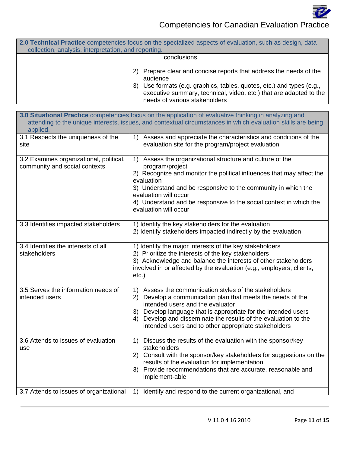

|                                                      | 2.0 Technical Practice competencies focus on the specialized aspects of evaluation, such as design, data                                                                                                                                                             |
|------------------------------------------------------|----------------------------------------------------------------------------------------------------------------------------------------------------------------------------------------------------------------------------------------------------------------------|
| collection, analysis, interpretation, and reporting. |                                                                                                                                                                                                                                                                      |
|                                                      | conclusions                                                                                                                                                                                                                                                          |
|                                                      | Prepare clear and concise reports that address the needs of the<br>2)<br>audience<br>Use formats (e.g. graphics, tables, quotes, etc.) and types (e.g.,<br>3)<br>executive summary, technical, video, etc.) that are adapted to the<br>needs of various stakeholders |

| 3.0 Situational Practice competencies focus on the application of evaluative thinking in analyzing and<br>attending to the unique interests, issues, and contextual circumstances in which evaluation skills are being<br>applied. |                                                                                                                                                                                                                                                                                                                                                                                                       |  |
|------------------------------------------------------------------------------------------------------------------------------------------------------------------------------------------------------------------------------------|-------------------------------------------------------------------------------------------------------------------------------------------------------------------------------------------------------------------------------------------------------------------------------------------------------------------------------------------------------------------------------------------------------|--|
| 3.1 Respects the uniqueness of the<br>site                                                                                                                                                                                         | 1) Assess and appreciate the characteristics and conditions of the<br>evaluation site for the program/project evaluation                                                                                                                                                                                                                                                                              |  |
| 3.2 Examines organizational, political,<br>community and social contexts                                                                                                                                                           | 1) Assess the organizational structure and culture of the<br>program/project<br>2) Recognize and monitor the political influences that may affect the<br>evaluation<br>3) Understand and be responsive to the community in which the<br>evaluation will occur<br>4) Understand and be responsive to the social context in which the<br>evaluation will occur                                          |  |
| 3.3 Identifies impacted stakeholders                                                                                                                                                                                               | 1) Identify the key stakeholders for the evaluation<br>2) Identify stakeholders impacted indirectly by the evaluation                                                                                                                                                                                                                                                                                 |  |
| 3.4 Identifies the interests of all<br>stakeholders                                                                                                                                                                                | 1) Identify the major interests of the key stakeholders<br>2) Prioritize the interests of the key stakeholders<br>3) Acknowledge and balance the interests of other stakeholders<br>involved in or affected by the evaluation (e.g., employers, clients,<br>$etc.$ )                                                                                                                                  |  |
| 3.5 Serves the information needs of<br>intended users                                                                                                                                                                              | Assess the communication styles of the stakeholders<br>$\left( \begin{matrix} 1 \end{matrix} \right)$<br>2) Develop a communication plan that meets the needs of the<br>intended users and the evaluator<br>3) Develop language that is appropriate for the intended users<br>4) Develop and disseminate the results of the evaluation to the<br>intended users and to other appropriate stakeholders |  |
| 3.6 Attends to issues of evaluation<br>use                                                                                                                                                                                         | Discuss the results of the evaluation with the sponsor/key<br>1)<br>stakeholders<br>2) Consult with the sponsor/key stakeholders for suggestions on the<br>results of the evaluation for implementation<br>3) Provide recommendations that are accurate, reasonable and<br>implement-able                                                                                                             |  |
| 3.7 Attends to issues of organizational                                                                                                                                                                                            | 1)<br>Identify and respond to the current organizational, and                                                                                                                                                                                                                                                                                                                                         |  |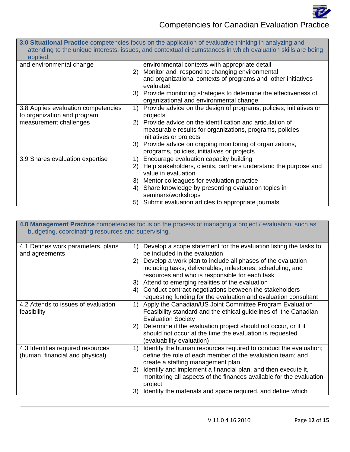

|                                     | <b>3.0 Situational Practice</b> competencies focus on the application of evaluative thinking in analyzing and |
|-------------------------------------|---------------------------------------------------------------------------------------------------------------|
|                                     | attending to the unique interests, issues, and contextual circumstances in which evaluation skills are being  |
| applied.                            |                                                                                                               |
| and environmental change            | environmental contexts with appropriate detail                                                                |
|                                     | Monitor and respond to changing environmental<br>2)                                                           |
|                                     | and organizational contexts of programs and other initiatives<br>evaluated                                    |
|                                     | 3) Provide monitoring strategies to determine the effectiveness of<br>organizational and environmental change |
| 3.8 Applies evaluation competencies | Provide advice on the design of programs, policies, initiatives or<br>1)                                      |
| to organization and program         | projects                                                                                                      |
| measurement challenges              | 2) Provide advice on the identification and articulation of                                                   |
|                                     | measurable results for organizations, programs, policies                                                      |
|                                     | initiatives or projects                                                                                       |
|                                     | 3) Provide advice on ongoing monitoring of organizations,                                                     |
|                                     | programs, policies, initiatives or projects                                                                   |
| 3.9 Shares evaluation expertise     | Encourage evaluation capacity building<br>1)                                                                  |
|                                     | Help stakeholders, clients, partners understand the purpose and<br>2)<br>value in evaluation                  |
|                                     | Mentor colleagues for evaluation practice<br>3)                                                               |
|                                     | Share knowledge by presenting evaluation topics in<br>4)<br>seminars/workshops                                |
|                                     | 5) Submit evaluation articles to appropriate journals                                                         |

| budgeting, coordinating resources and supervising.                   | 4.0 Management Practice competencies focus on the process of managing a project / evaluation, such as                                                                                                                                                                                                                                                                                                                                                                                    |
|----------------------------------------------------------------------|------------------------------------------------------------------------------------------------------------------------------------------------------------------------------------------------------------------------------------------------------------------------------------------------------------------------------------------------------------------------------------------------------------------------------------------------------------------------------------------|
| 4.1 Defines work parameters, plans<br>and agreements                 | Develop a scope statement for the evaluation listing the tasks to<br>1)<br>be included in the evaluation<br>Develop a work plan to include all phases of the evaluation<br>2)<br>including tasks, deliverables, milestones, scheduling, and<br>resources and who is responsible for each task<br>Attend to emerging realities of the evaluation<br>3)<br>Conduct contract negotiations between the stakeholders<br>4)<br>requesting funding for the evaluation and evaluation consultant |
| 4.2 Attends to issues of evaluation<br>feasibility                   | Apply the Canadian/US Joint Committee Program Evaluation<br>1)<br>Feasibility standard and the ethical guidelines of the Canadian<br><b>Evaluation Society</b><br>Determine if the evaluation project should not occur, or if it<br>2)<br>should not occur at the time the evaluation is requested<br>(evaluability evaluation)                                                                                                                                                          |
| 4.3 Identifies required resources<br>(human, financial and physical) | Identify the human resources required to conduct the evaluation;<br>1)<br>define the role of each member of the evaluation team; and<br>create a staffing management plan<br>Identify and implement a financial plan, and then execute it,<br>2)<br>monitoring all aspects of the finances available for the evaluation<br>project<br>Identify the materials and space required, and define which<br>3)                                                                                  |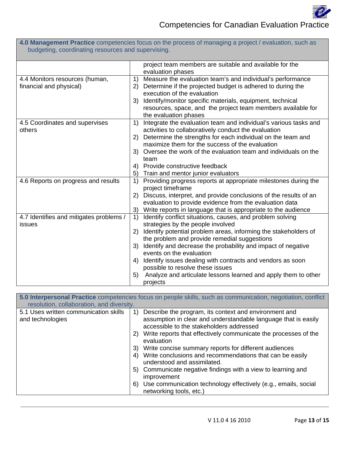

| budgeting, coordinating resources and supervising.        |                                                                                                                                                                                                                                                                                                                                                                                                                                                                                                                             |  |
|-----------------------------------------------------------|-----------------------------------------------------------------------------------------------------------------------------------------------------------------------------------------------------------------------------------------------------------------------------------------------------------------------------------------------------------------------------------------------------------------------------------------------------------------------------------------------------------------------------|--|
|                                                           | project team members are suitable and available for the<br>evaluation phases                                                                                                                                                                                                                                                                                                                                                                                                                                                |  |
| 4.4 Monitors resources (human,<br>financial and physical) | Measure the evaluation team's and individual's performance<br>1)<br>Determine if the projected budget is adhered to during the<br>2)<br>execution of the evaluation<br>Identify/monitor specific materials, equipment, technical<br>3)<br>resources, space, and the project team members available for<br>the evaluation phases                                                                                                                                                                                             |  |
| 4.5 Coordinates and supervises<br>others                  | Integrate the evaluation team and individual's various tasks and<br>1)<br>activities to collaboratively conduct the evaluation<br>Determine the strengths for each individual on the team and<br>2)<br>maximize them for the success of the evaluation<br>Oversee the work of the evaluation team and individuals on the<br>3)<br>team<br>Provide constructive feedback<br>4)<br>Train and mentor junior evaluators<br>5)                                                                                                   |  |
| 4.6 Reports on progress and results                       | 1)<br>Providing progress reports at appropriate milestones during the<br>project timeframe<br>Discuss, interpret, and provide conclusions of the results of an<br>2)<br>evaluation to provide evidence from the evaluation data<br>Write reports in language that is appropriate to the audience<br>3)                                                                                                                                                                                                                      |  |
| 4.7 Identifies and mitigates problems /<br>issues         | Identify conflict situations, causes, and problem solving<br>1)<br>strategies by the people involved<br>Identify potential problem areas, informing the stakeholders of<br>2)<br>the problem and provide remedial suggestions<br>Identify and decrease the probability and impact of negative<br>3)<br>events on the evaluation<br>Identify issues dealing with contracts and vendors as soon<br>4)<br>possible to resolve these issues<br>Analyze and articulate lessons learned and apply them to other<br>5)<br>projects |  |

**4.0 Management Practice** competencies focus on the process of managing a project / evaluation, such as

|                                                           | 5.0 Interpersonal Practice competencies focus on people skills, such as communication, negotiation, conflict                                                              |
|-----------------------------------------------------------|---------------------------------------------------------------------------------------------------------------------------------------------------------------------------|
| resolution, collaboration, and diversity.                 |                                                                                                                                                                           |
| 5.1 Uses written communication skills<br>and technologies | Describe the program, its context and environment and<br>1)<br>assumption in clear and understandable language that is easily<br>accessible to the stakeholders addressed |
|                                                           | Write reports that effectively communicate the processes of the<br>2)<br>evaluation                                                                                       |
|                                                           | Write concise summary reports for different audiences<br>3)                                                                                                               |
|                                                           | Write conclusions and recommendations that can be easily<br>4)<br>understood and assimilated.                                                                             |
|                                                           | Communicate negative findings with a view to learning and<br>5)<br>improvement                                                                                            |
|                                                           | Use communication technology effectively (e.g., emails, social<br>6)<br>networking tools, etc.)                                                                           |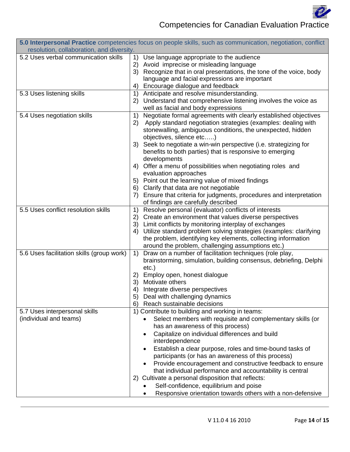

| 5.0 Interpersonal Practice competencies focus on people skills, such as communication, negotiation, conflict |                                                                                                                       |  |
|--------------------------------------------------------------------------------------------------------------|-----------------------------------------------------------------------------------------------------------------------|--|
| resolution, collaboration, and diversity.                                                                    |                                                                                                                       |  |
| 5.2 Uses verbal communication skills                                                                         | Use language appropriate to the audience<br>1)<br>2)                                                                  |  |
|                                                                                                              | Avoid imprecise or misleading language<br>Recognize that in oral presentations, the tone of the voice, body<br>3)     |  |
|                                                                                                              | language and facial expressions are important                                                                         |  |
|                                                                                                              | Encourage dialogue and feedback<br>4)                                                                                 |  |
| 5.3 Uses listening skills                                                                                    | Anticipate and resolve misunderstanding.<br>1)                                                                        |  |
|                                                                                                              | 2) Understand that comprehensive listening involves the voice as                                                      |  |
|                                                                                                              | well as facial and body expressions                                                                                   |  |
| 5.4 Uses negotiation skills                                                                                  | Negotiate formal agreements with clearly established objectives<br>1)                                                 |  |
|                                                                                                              | Apply standard negotiation strategies (examples: dealing with<br>2)                                                   |  |
|                                                                                                              | stonewalling, ambiguous conditions, the unexpected, hidden                                                            |  |
|                                                                                                              | objectives, silence etc)                                                                                              |  |
|                                                                                                              | 3) Seek to negotiate a win-win perspective (i.e. strategizing for                                                     |  |
|                                                                                                              | benefits to both parties) that is responsive to emerging                                                              |  |
|                                                                                                              | developments                                                                                                          |  |
|                                                                                                              | 4) Offer a menu of possibilities when negotiating roles and                                                           |  |
|                                                                                                              | evaluation approaches                                                                                                 |  |
|                                                                                                              | Point out the learning value of mixed findings<br>5)                                                                  |  |
|                                                                                                              | Clarify that data are not negotiable<br>6)<br>Ensure that criteria for judgments, procedures and interpretation<br>7) |  |
|                                                                                                              | of findings are carefully described                                                                                   |  |
| 5.5 Uses conflict resolution skills                                                                          | Resolve personal (evaluator) conflicts of interests<br>1)                                                             |  |
|                                                                                                              | 2) Create an environment that values diverse perspectives                                                             |  |
|                                                                                                              | 3) Limit conflicts by monitoring interplay of exchanges                                                               |  |
|                                                                                                              | 4) Utilize standard problem solving strategies (examples: clarifying                                                  |  |
|                                                                                                              | the problem, identifying key elements, collecting information                                                         |  |
|                                                                                                              | around the problem, challenging assumptions etc.)                                                                     |  |
| 5.6 Uses facilitation skills (group work)                                                                    | Draw on a number of facilitation techniques (role play,<br>1)                                                         |  |
|                                                                                                              | brainstorming, simulation, building consensus, debriefing, Delphi                                                     |  |
|                                                                                                              | $etc.$ )                                                                                                              |  |
|                                                                                                              | Employ open, honest dialogue<br>2)                                                                                    |  |
|                                                                                                              | Motivate others<br>3)                                                                                                 |  |
|                                                                                                              | Integrate diverse perspectives<br>4)<br>Deal with challenging dynamics                                                |  |
|                                                                                                              | Reach sustainable decisions<br>6)                                                                                     |  |
| 5.7 Uses interpersonal skills                                                                                | 1) Contribute to building and working in teams:                                                                       |  |
| (individual and teams)                                                                                       | Select members with requisite and complementary skills (or                                                            |  |
|                                                                                                              | has an awareness of this process)                                                                                     |  |
|                                                                                                              | Capitalize on individual differences and build                                                                        |  |
|                                                                                                              | interdependence                                                                                                       |  |
|                                                                                                              | Establish a clear purpose, roles and time-bound tasks of                                                              |  |
|                                                                                                              | participants (or has an awareness of this process)                                                                    |  |
|                                                                                                              | Provide encouragement and constructive feedback to ensure                                                             |  |
|                                                                                                              | that individual performance and accountability is central                                                             |  |
|                                                                                                              | 2) Cultivate a personal disposition that reflects:                                                                    |  |
|                                                                                                              | Self-confidence, equilibrium and poise                                                                                |  |
|                                                                                                              | Responsive orientation towards others with a non-defensive                                                            |  |